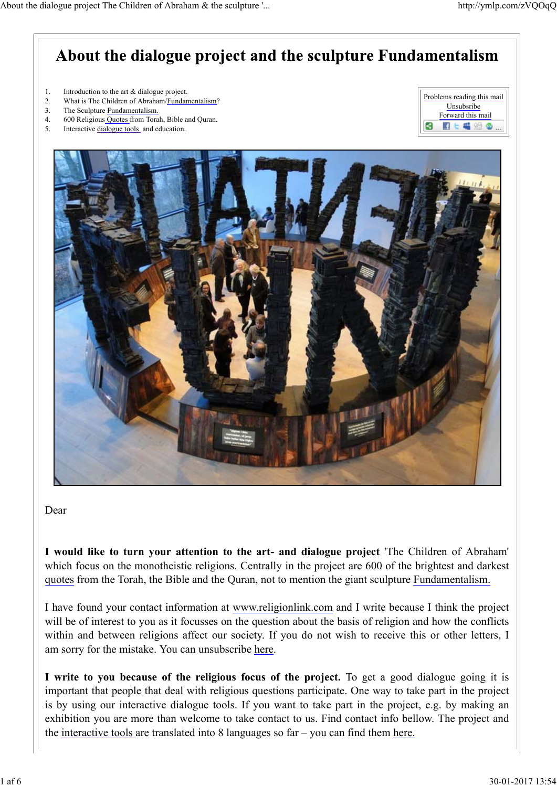# About the dialogue project and the sculpture Fundamentalism

- 1. Introduction to the art & dialogue project.
- 2. What is The Children of Abraham/Fundamentalism?
- 3. The Sculpture Fundamentalism.
- 4. 600 Religious Quotes from Torah, Bible and Quran.
- 5. Interactive dialogue tools and education.

| Problems reading this mail |
|----------------------------|
| Unsubsribe                 |
| Forward this mail          |
|                            |



### Dear

**I would like to turn your attention to the art- and dialogue project** 'The Children of Abraham' which focus on the monotheistic religions. Centrally in the project are 600 of the brightest and darkest quotes from the Torah, the Bible and the Quran, not to mention the giant sculpture Fundamentalism.

I have found your contact information at www.religionlink.com and I write because I think the project will be of interest to you as it focusses on the question about the basis of religion and how the conflicts within and between religions affect our society. If you do not wish to receive this or other letters, I am sorry for the mistake. You can unsubscribe here.

**I write to you because of the religious focus of the project.** To get a good dialogue going it is important that people that deal with religious questions participate. One way to take part in the project is by using our interactive dialogue tools. If you want to take part in the project, e.g. by making an exhibition you are more than welcome to take contact to us. Find contact info bellow. The project and the interactive tools are translated into  $8$  languages so far – you can find them here.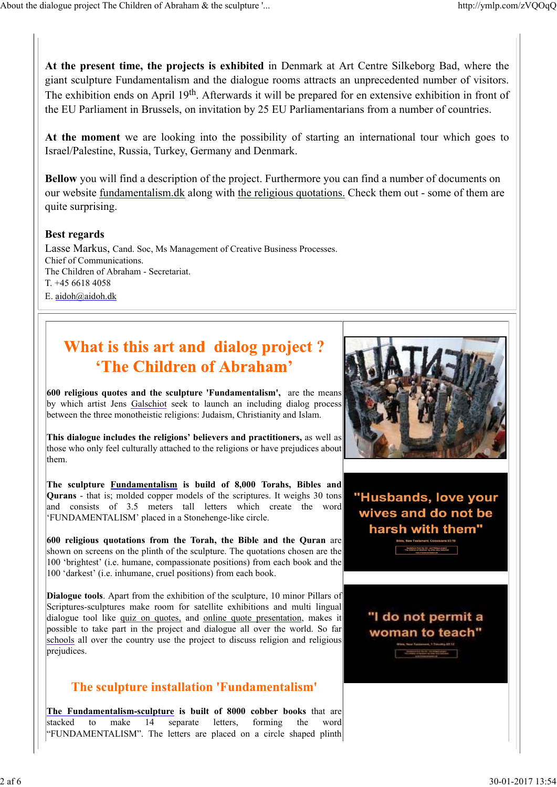**At the present time, the projects is exhibited** in Denmark at Art Centre Silkeborg Bad, where the giant sculpture Fundamentalism and the dialogue rooms attracts an unprecedented number of visitors. The exhibition ends on April 19<sup>th</sup>. Afterwards it will be prepared for en extensive exhibition in front of the EU Parliament in Brussels, on invitation by 25 EU Parliamentarians from a number of countries.

**At the moment** we are looking into the possibility of starting an international tour which goes to Israel/Palestine, Russia, Turkey, Germany and Denmark.

**Bellow** you will find a description of the project. Furthermore you can find a number of documents on our website fundamentalism.dk along with the religious quotations. Check them out - some of them are quite surprising.

### **Best regards**

Lasse Markus, Cand. Soc, Ms Management of Creative Business Processes. Chief of Communications. The Children of Abraham - Secretariat. T. +45 6618 4058 E. aidoh@aidoh.dk

# What is this art and dialog project? 'The Children of Abraham'

**600 religious quotes and the sculpture 'Fundamentalism',** are the means by which artist Jens Galschiot seek to launch an including dialog process between the three monotheistic religions: Judaism, Christianity and Islam.

**This dialogue includes the religions' believers and practitioners,** as well as those who only feel culturally attached to the religions or have prejudices about them.

**The sculpture Fundamentalism is build of 8,000 Torahs, Bibles and Qurans** - that is; molded copper models of the scriptures. It weighs 30 tons and consists of 3.5 meters tall letters which create the word 'FUNDAMENTALISM' placed in a Stonehenge-like circle.

**600 religious quotations from the Torah, the Bible and the Quran** are shown on screens on the plinth of the sculpture. The quotations chosen are the 100 'brightest' (i.e. humane, compassionate positions) from each book and the 100 'darkest' (i.e. inhumane, cruel positions) from each book.

**Dialogue tools**. Apart from the exhibition of the sculpture, 10 minor Pillars of Scriptures-sculptures make room for satellite exhibitions and multi lingual dialogue tool like quiz on quotes, and online quote presentation, makes it possible to take part in the project and dialogue all over the world. So far schools all over the country use the project to discuss religion and religious prejudices.

# **The sculpture installation 'Fundamentalism'**

**The Fundamentalism-sculpture is built of 8000 cobber books** that are stacked to make 14 separate letters, forming the word "FUNDAMENTALISM". The letters are placed on a circle shaped plinth



"Husbands, love your wives and do not be harsh with them"

# "I do not permit a woman to teach"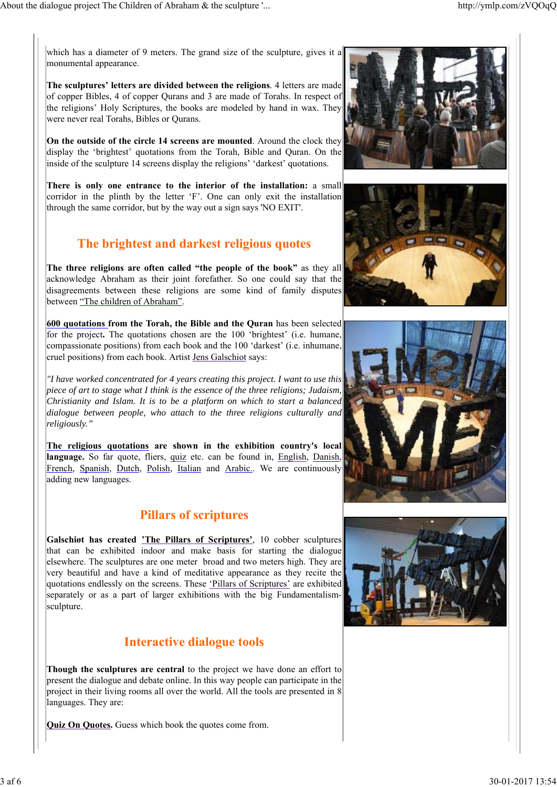which has a diameter of 9 meters. The grand size of the sculpture, gives it a monumental appearance.

**The sculptures' letters are divided between the religions**. 4 letters are made of copper Bibles, 4 of copper Qurans and 3 are made of Torahs. In respect of the religions' Holy Scriptures, the books are modeled by hand in wax. They were never real Torahs, Bibles or Qurans.

**On the outside of the circle 14 screens are mounted**. Around the clock they display the 'brightest' quotations from the Torah, Bible and Quran. On the inside of the sculpture 14 screens display the religions' 'darkest' quotations.

**There is only one entrance to the interior of the installation:** a small corridor in the plinth by the letter 'F'. One can only exit the installation through the same corridor, but by the way out a sign says 'NO EXIT'.

## **The brightest and darkest religious quotes**

**The three religions are often called "the people of the book"** as they all acknowledge Abraham as their joint forefather. So one could say that the disagreements between these religions are some kind of family disputes between "The children of Abraham".

**600 quotations from the Torah, the Bible and the Quran** has been selected for the project**.** The quotations chosen are the 100 'brightest' (i.e. humane, compassionate positions) from each book and the 100 'darkest' (i.e. inhumane, cruel positions) from each book. Artist Jens Galschiot says:

*"I have worked concentrated for 4 years creating this project. I want to use this piece of art to stage what I think is the essence of the three religions; Judaism, Christianity and Islam. It is to be a platform on which to start a balanced dialogue between people, who attach to the three religions culturally and religiously."*

**The religious quotations are shown in the exhibition country's local language.** So far quote, fliers, quiz etc. can be found in, English, Danish, French, Spanish, Dutch, Polish, Italian and Arabic.. We are continuously adding new languages.

## **Pillars of scriptures**

**Galschiøt has created 'The Pillars of Scriptures'**, 10 cobber sculptures that can be exhibited indoor and make basis for starting the dialogue elsewhere. The sculptures are one meter broad and two meters high. They are very beautiful and have a kind of meditative appearance as they recite the quotations endlessly on the screens. These 'Pillars of Scriptures' are exhibited separately or as a part of larger exhibitions with the big Fundamentalismsculpture.

## **Interactive dialogue tools**

**Though the sculptures are central** to the project we have done an effort to present the dialogue and debate online. In this way people can participate in the project in their living rooms all over the world. All the tools are presented in 8 languages. They are:

**Quiz On Quotes.** Guess which book the quotes come from.







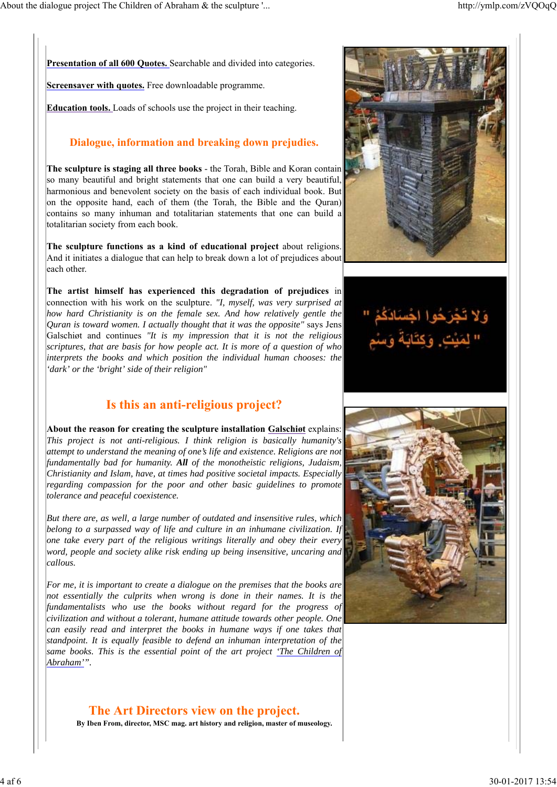**Presentation of all 600 Quotes.** Searchable and divided into categories.

**Screensaver with quotes.** Free downloadable programme.

**Education tools.** Loads of schools use the project in their teaching.

## **Dialogue, information and breaking down prejudies.**

**The sculpture is staging all three books** - the Torah, Bible and Koran contain so many beautiful and bright statements that one can build a very beautiful, harmonious and benevolent society on the basis of each individual book. But on the opposite hand, each of them (the Torah, the Bible and the Quran) contains so many inhuman and totalitarian statements that one can build a totalitarian society from each book.

**The sculpture functions as a kind of educational project** about religions. And it initiates a dialogue that can help to break down a lot of prejudices about each other.

**The artist himself has experienced this degradation of prejudices** in connection with his work on the sculpture. *"I, myself, was very surprised at how hard Christianity is on the female sex. And how relatively gentle the Quran is toward women. I actually thought that it was the opposite"* says Jens Galschiøt and continues *"It is my impression that it is not the religious scriptures, that are basis for how people act. It is more of a question of who interprets the books and which position the individual human chooses: the 'dark' or the 'bright' side of their religion"*

## **Is this an anti-religious project?**

**About the reason for creating the sculpture installation Galschiøt** explains: *This project is not anti-religious. I think religion is basically humanity's attempt to understand the meaning of one's life and existence. Religions are not fundamentally bad for humanity. All of the monotheistic religions, Judaism, Christianity and Islam, have, at times had positive societal impacts. Especially regarding compassion for the poor and other basic guidelines to promote tolerance and peaceful coexistence.*

*But there are, as well, a large number of outdated and insensitive rules, which belong to a surpassed way of life and culture in an inhumane civilization. If one take every part of the religious writings literally and obey their every word, people and society alike risk ending up being insensitive, uncaring and callous.*

*For me, it is important to create a dialogue on the premises that the books are not essentially the culprits when wrong is done in their names. It is the fundamentalists who use the books without regard for the progress of civilization and without a tolerant, humane attitude towards other people. One can easily read and interpret the books in humane ways if one takes that standpoint. It is equally feasible to defend an inhuman interpretation of the same books. This is the essential point of the art project 'The Children of Abraham'".*

**The Art Directors view on the project. By Iben From, director, MSC mag. art history and religion, master of museology.**





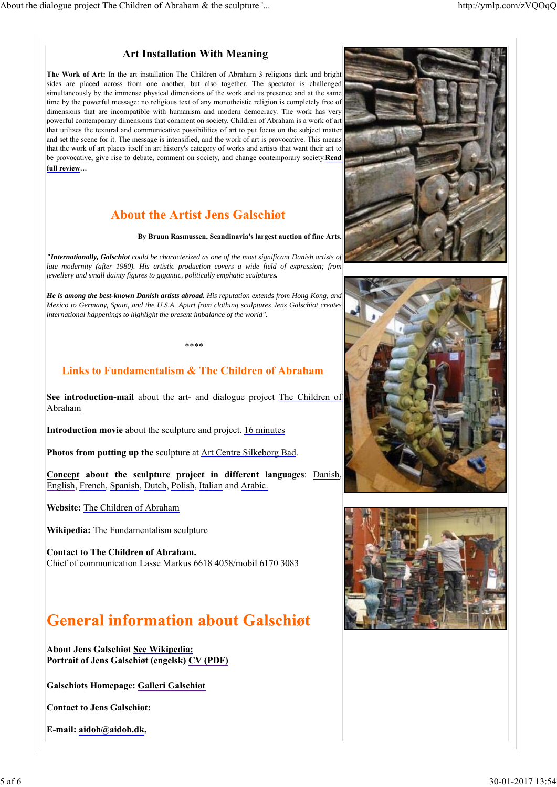## **Art Installation With Meaning**

**The Work of Art:** In the art installation The Children of Abraham 3 religions dark and bright sides are placed across from one another, but also together. The spectator is challenged simultaneously by the immense physical dimensions of the work and its presence and at the same time by the powerful message: no religious text of any monotheistic religion is completely free of dimensions that are incompatible with humanism and modern democracy. The work has very powerful contemporary dimensions that comment on society. Children of Abraham is a work of art that utilizes the textural and communicative possibilities of art to put focus on the subject matter and set the scene for it. The message is intensified, and the work of art is provocative. This means that the work of art places itself in art history's category of works and artists that want their art to be provocative, give rise to debate, comment on society, and change contemporary society.**Read full review**...

# **About the Artist Jens Galschiøt**

#### **By Bruun Rasmussen, Scandinavia's largest auction of fine Arts.**

*"Internationally, Galschiot could be characterized as one of the most significant Danish artists of late modernity (after 1980). His artistic production covers a wide field of expression; from jewellery and small dainty figures to gigantic, politically emphatic sculptures.*

*He is among the best-known Danish artists abroad. His reputation extends from Hong Kong, and Mexico to Germany, Spain, and the U.S.A. Apart from clothing sculptures Jens Galschiot creates international happenings to highlight the present imbalance of the world"*.

## **Links to Fundamentalism & The Children of Abraham**

\*\*\*\*

**See introduction-mail** about the art- and dialogue project The Children of Abraham

**Introduction movie** about the sculpture and project. 16 minutes

**Photos from putting up the** sculpture at Art Centre Silkeborg Bad.

**Concept about the sculpture project in different languages**: Danish, English, French, Spanish, Dutch, Polish, Italian and Arabic.

**Website:** The Children of Abraham

**Wikipedia:** The Fundamentalism sculpture

**Contact to The Children of Abraham.** Chief of communication Lasse Markus 6618 4058/mobil 6170 3083

# **General information about Galschigt**

**About Jens Galschiøt See Wikipedia: Portrait of Jens Galschiøt (engelsk) CV (PDF)** 

**Galschiots Homepage: Galleri Galschiøt**

**Contact to Jens Galschiøt:**

**E-mail: aidoh@aidoh.dk,**